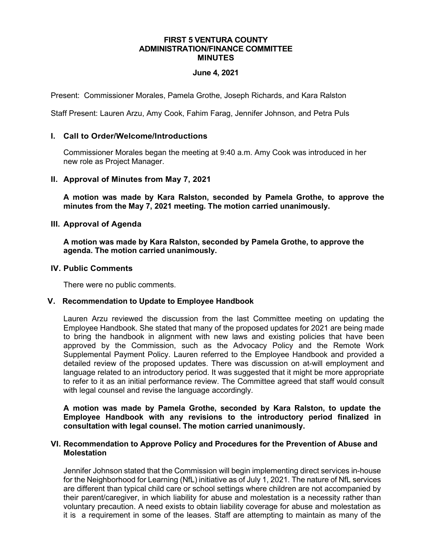### **FIRST 5 VENTURA COUNTY ADMINISTRATION/FINANCE COMMITTEE MINUTES**

## **June 4, 2021**

Present: Commissioner Morales, Pamela Grothe, Joseph Richards, and Kara Ralston

Staff Present: Lauren Arzu, Amy Cook, Fahim Farag, Jennifer Johnson, and Petra Puls

## **I. Call to Order/Welcome/Introductions**

Commissioner Morales began the meeting at 9:40 a.m. Amy Cook was introduced in her new role as Project Manager.

### **II. Approval of Minutes from May 7, 2021**

**A motion was made by Kara Ralston, seconded by Pamela Grothe, to approve the minutes from the May 7, 2021 meeting. The motion carried unanimously.**

## **III. Approval of Agenda**

**A motion was made by Kara Ralston, seconded by Pamela Grothe, to approve the agenda. The motion carried unanimously.**

### **IV. Public Comments**

There were no public comments.

# **V. Recommendation to Update to Employee Handbook**

Lauren Arzu reviewed the discussion from the last Committee meeting on updating the Employee Handbook. She stated that many of the proposed updates for 2021 are being made to bring the handbook in alignment with new laws and existing policies that have been approved by the Commission, such as the Advocacy Policy and the Remote Work Supplemental Payment Policy. Lauren referred to the Employee Handbook and provided a detailed review of the proposed updates. There was discussion on at-will employment and language related to an introductory period. It was suggested that it might be more appropriate to refer to it as an initial performance review. The Committee agreed that staff would consult with legal counsel and revise the language accordingly.

**A motion was made by Pamela Grothe, seconded by Kara Ralston, to update the Employee Handbook with any revisions to the introductory period finalized in consultation with legal counsel. The motion carried unanimously.** 

### **VI. Recommendation to Approve Policy and Procedures for the Prevention of Abuse and Molestation**

Jennifer Johnson stated that the Commission will begin implementing direct services in-house for the Neighborhood for Learning (NfL) initiative as of July 1, 2021. The nature of NfL services are different than typical child care or school settings where children are not accompanied by their parent/caregiver, in which liability for abuse and molestation is a necessity rather than voluntary precaution. A need exists to obtain liability coverage for abuse and molestation as it is a requirement in some of the leases. Staff are attempting to maintain as many of the